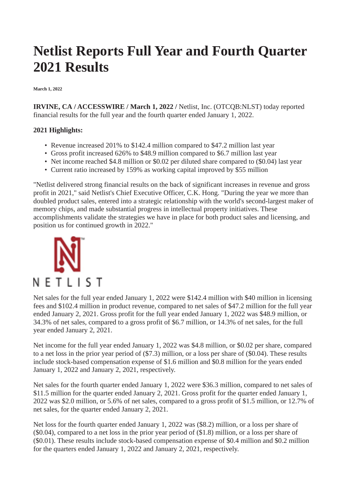# **Netlist Reports Full Year and Fourth Quarter 2021 Results**

**March 1, 2022**

**IRVINE, CA / ACCESSWIRE / March 1, 2022 /** Netlist, Inc. (OTCQB:NLST) today reported financial results for the full year and the fourth quarter ended January 1, 2022.

#### **2021 Highlights:**

- Revenue increased 201% to \$142.4 million compared to \$47.2 million last year
- Gross profit increased 626% to \$48.9 million compared to \$6.7 million last year
- Net income reached \$4.8 million or \$0.02 per diluted share compared to (\$0.04) last year
- Current ratio increased by 159% as working capital improved by \$55 million

"Netlist delivered strong financial results on the back of significant increases in revenue and gross profit in 2021," said Netlist's Chief Executive Officer, C.K. Hong. "During the year we more than doubled product sales, entered into a strategic relationship with the world's second-largest maker of memory chips, and made substantial progress in intellectual property initiatives. These accomplishments validate the strategies we have in place for both product sales and licensing, and position us for continued growth in 2022."



Net sales for the full year ended January 1, 2022 were \$142.4 million with \$40 million in licensing fees and \$102.4 million in product revenue, compared to net sales of \$47.2 million for the full year ended January 2, 2021. Gross profit for the full year ended January 1, 2022 was \$48.9 million, or 34.3% of net sales, compared to a gross profit of \$6.7 million, or 14.3% of net sales, for the full year ended January 2, 2021.

Net income for the full year ended January 1, 2022 was \$4.8 million, or \$0.02 per share, compared to a net loss in the prior year period of (\$7.3) million, or a loss per share of (\$0.04). These results include stock-based compensation expense of \$1.6 million and \$0.8 million for the years ended January 1, 2022 and January 2, 2021, respectively.

Net sales for the fourth quarter ended January 1, 2022 were \$36.3 million, compared to net sales of \$11.5 million for the quarter ended January 2, 2021. Gross profit for the quarter ended January 1, 2022 was \$2.0 million, or 5.6% of net sales, compared to a gross profit of \$1.5 million, or 12.7% of net sales, for the quarter ended January 2, 2021.

Net loss for the fourth quarter ended January 1, 2022 was (\$8.2) million, or a loss per share of (\$0.04), compared to a net loss in the prior year period of (\$1.8) million, or a loss per share of (\$0.01). These results include stock-based compensation expense of \$0.4 million and \$0.2 million for the quarters ended January 1, 2022 and January 2, 2021, respectively.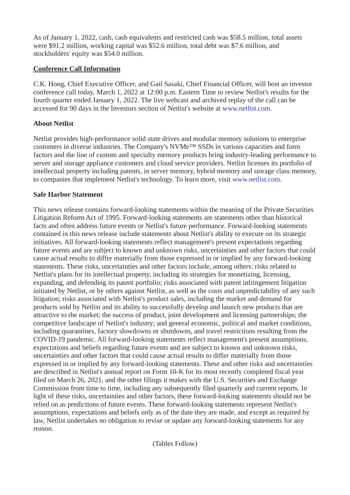As of January 1, 2022, cash, cash equivalents and restricted cash was \$58.5 million, total assets were \$91.2 million, working capital was \$52.6 million, total debt was \$7.6 million, and stockholders' equity was \$54.0 million.

### **Conference Call Information**

C.K. Hong, Chief Executive Officer, and Gail Sasaki, Chief Financial Officer, will host an investor conference call today, March 1, 2022 at 12:00 p.m. Eastern Time to review Netlist's results for the fourth quarter ended January 1, 2022. The live webcast and archived replay of the call can be accessed for 90 days in the Investors section of Netlist's website at [www.netlist.com.](https://pr.report/F-2bxRld)

## **About Netlist**

Netlist provides high-performance solid state drives and modular memory solutions to enterprise customers in diverse industries. The Company's NVMe™ SSDs in various capacities and form factors and the line of custom and specialty memory products bring industry-leading performance to server and storage appliance customers and cloud service providers. Netlist licenses its portfolio of intellectual property including patents, in server memory, hybrid memory and storage class memory, to companies that implement Netlist's technology. To learn more, visit [www.netlist.com](https://pr.report/AJh1CeBE).

## **Safe Harbor Statement**

This news release contains forward-looking statements within the meaning of the Private Securities Litigation Reform Act of 1995. Forward-looking statements are statements other than historical facts and often address future events or Netlist's future performance. Forward-looking statements contained in this news release include statements about Netlist's ability to execute on its strategic initiatives. All forward-looking statements reflect management's present expectations regarding future events and are subject to known and unknown risks, uncertainties and other factors that could cause actual results to differ materially from those expressed in or implied by any forward-looking statements. These risks, uncertainties and other factors include, among others: risks related to Netlist's plans for its intellectual property, including its strategies for monetizing, licensing, expanding, and defending its patent portfolio; risks associated with patent infringement litigation initiated by Netlist, or by others against Netlist, as well as the costs and unpredictability of any such litigation; risks associated with Netlist's product sales, including the market and demand for products sold by Netlist and its ability to successfully develop and launch new products that are attractive to the market; the success of product, joint development and licensing partnerships; the competitive landscape of Netlist's industry; and general economic, political and market conditions, including quarantines, factory slowdowns or shutdowns, and travel restrictions resulting from the COVID-19 pandemic. All forward-looking statements reflect management's present assumptions, expectations and beliefs regarding future events and are subject to known and unknown risks, uncertainties and other factors that could cause actual results to differ materially from those expressed in or implied by any forward-looking statements. These and other risks and uncertainties are described in Netlist's annual report on Form 10-K for its most recently completed fiscal year filed on March 26, 2021, and the other filings it makes with the U.S. Securities and Exchange Commission from time to time, including any subsequently filed quarterly and current reports. In light of these risks, uncertainties and other factors, these forward-looking statements should not be relied on as predictions of future events. These forward-looking statements represent Netlist's assumptions, expectations and beliefs only as of the date they are made, and except as required by law, Netlist undertakes no obligation to revise or update any forward-looking statements for any reason.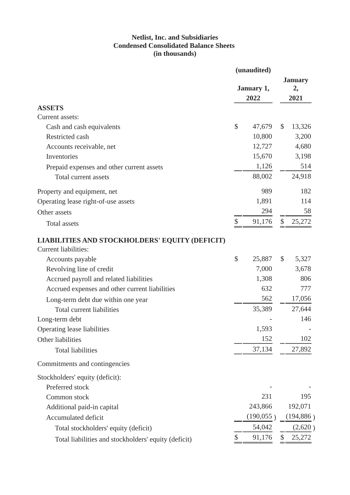#### **Netlist, Inc. and Subsidiaries Condensed Consolidated Balance Sheets (in thousands)**

|                                                                               |                    | (unaudited) |                              |            |
|-------------------------------------------------------------------------------|--------------------|-------------|------------------------------|------------|
|                                                                               | January 1,<br>2022 |             | <b>January</b><br>2,<br>2021 |            |
| <b>ASSETS</b>                                                                 |                    |             |                              |            |
| Current assets:                                                               |                    |             |                              |            |
| Cash and cash equivalents                                                     | \$                 | 47,679      | \$                           | 13,326     |
| Restricted cash                                                               |                    | 10,800      |                              | 3,200      |
| Accounts receivable, net                                                      |                    | 12,727      |                              | 4,680      |
| Inventories                                                                   |                    | 15,670      |                              | 3,198      |
| Prepaid expenses and other current assets                                     |                    | 1,126       |                              | 514        |
| Total current assets                                                          |                    | 88,002      |                              | 24,918     |
| Property and equipment, net                                                   |                    | 989         |                              | 182        |
| Operating lease right-of-use assets                                           |                    | 1,891       |                              | 114        |
| Other assets                                                                  |                    | 294         |                              | 58         |
| <b>Total assets</b>                                                           |                    | 91,176      | \$                           | 25,272     |
| LIABILITIES AND STOCKHOLDERS' EQUITY (DEFICIT)<br><b>Current liabilities:</b> |                    |             |                              |            |
| Accounts payable                                                              | \$                 | 25,887      | \$                           | 5,327      |
| Revolving line of credit                                                      |                    | 7,000       |                              | 3,678      |
| Accrued payroll and related liabilities                                       |                    | 1,308       |                              | 806        |
| Accrued expenses and other current liabilities                                |                    | 632         |                              | 777        |
| Long-term debt due within one year                                            |                    | 562         |                              | 17,056     |
| Total current liabilities                                                     |                    | 35,389      |                              | 27,644     |
| Long-term debt                                                                |                    |             |                              | 146        |
| Operating lease liabilities                                                   |                    | 1,593       |                              |            |
| Other liabilities                                                             |                    | 152         |                              | 102        |
| <b>Total liabilities</b>                                                      |                    | 37,134      |                              | 27,892     |
| Commitments and contingencies                                                 |                    |             |                              |            |
| Stockholders' equity (deficit):                                               |                    |             |                              |            |
| Preferred stock                                                               |                    |             |                              |            |
| Common stock                                                                  |                    | 231         |                              | 195        |
| Additional paid-in capital                                                    |                    | 243,866     |                              | 192,071    |
| Accumulated deficit                                                           |                    | (190, 055)  |                              | (194, 886) |
| Total stockholders' equity (deficit)                                          |                    | 54,042      |                              | (2,620)    |
| Total liabilities and stockholders' equity (deficit)                          |                    | 91,176      | \$                           | 25,272     |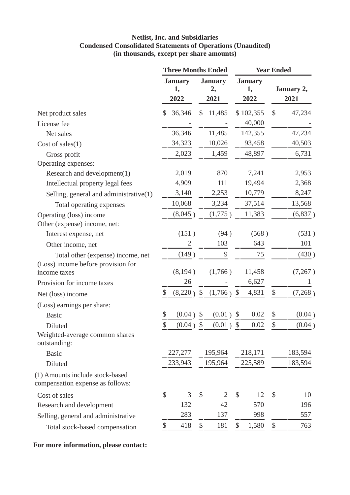#### **Netlist, Inc. and Subsidiaries Condensed Consolidated Statements of Operations (Unaudited) (in thousands, except per share amounts)**

|                                                                     | <b>Three Months Ended</b> |                              |                           |                              | <b>Year Ended</b> |                              |              |                    |  |
|---------------------------------------------------------------------|---------------------------|------------------------------|---------------------------|------------------------------|-------------------|------------------------------|--------------|--------------------|--|
|                                                                     |                           | <b>January</b><br>1,<br>2022 |                           | <b>January</b><br>2,<br>2021 |                   | <b>January</b><br>1,<br>2022 |              | January 2,<br>2021 |  |
| Net product sales                                                   | \$                        | 36,346                       | \$                        | 11,485                       |                   | \$102,355                    | \$           | 47,234             |  |
| License fee                                                         |                           |                              |                           |                              |                   | 40,000                       |              |                    |  |
| Net sales                                                           |                           | 36,346                       |                           | 11,485                       |                   | 142,355                      |              | 47,234             |  |
| Cost of sales $(1)$                                                 |                           | 34,323                       |                           | 10,026                       |                   | 93,458                       |              | 40,503             |  |
| Gross profit                                                        |                           | 2,023                        |                           | 1,459                        |                   | 48,897                       |              | 6,731              |  |
| Operating expenses:                                                 |                           |                              |                           |                              |                   |                              |              |                    |  |
| Research and development(1)                                         |                           | 2,019                        |                           | 870                          |                   | 7,241                        |              | 2,953              |  |
| Intellectual property legal fees                                    |                           | 4,909                        |                           | 111                          |                   | 19,494                       |              | 2,368              |  |
| Selling, general and administrative(1)                              |                           | 3,140                        |                           | 2,253                        |                   | 10,779                       |              | 8,247              |  |
| Total operating expenses                                            |                           | 10,068                       |                           | 3,234                        |                   | 37,514                       |              | 13,568             |  |
| Operating (loss) income                                             |                           | (8,045)                      |                           | (1,775)                      |                   | 11,383                       |              | (6,837)            |  |
| Other (expense) income, net:                                        |                           |                              |                           |                              |                   |                              |              |                    |  |
| Interest expense, net                                               |                           | (151)                        |                           | (94)                         |                   | (568)                        |              | (531)              |  |
| Other income, net                                                   |                           | 2                            |                           | 103                          |                   | 643                          |              | 101                |  |
| Total other (expense) income, net                                   |                           | (149)                        |                           | 9                            |                   | 75                           |              | (430)              |  |
| (Loss) income before provision for                                  |                           |                              |                           |                              |                   |                              |              |                    |  |
| income taxes                                                        |                           | (8, 194)                     |                           | (1,766)                      |                   | 11,458                       |              | (7,267)            |  |
| Provision for income taxes                                          |                           | 26                           |                           |                              |                   | 6,627                        |              | 1                  |  |
| Net (loss) income                                                   | \$                        | (8,220)                      | \$                        | (1,766)                      | \$                | 4,831                        | \$           | (7,268)            |  |
| (Loss) earnings per share:                                          |                           |                              |                           |                              |                   |                              |              |                    |  |
| <b>Basic</b>                                                        | \$                        | (0.04)                       | $\boldsymbol{\mathsf{S}}$ | (0.01)                       | \$                | 0.02                         | \$           | (0.04)             |  |
| Diluted                                                             | \$                        | (0.04)                       | $\boldsymbol{\mathsf{S}}$ | (0.01)                       | \$                | 0.02                         | \$           | (0.04)             |  |
| Weighted-average common shares<br>outstanding:                      |                           |                              |                           |                              |                   |                              |              |                    |  |
| <b>Basic</b>                                                        |                           | 227,277                      |                           | 195,964                      |                   | 218,171                      |              | 183,594            |  |
| Diluted                                                             |                           | 233,943                      |                           | 195,964                      |                   | 225,589                      |              | 183,594            |  |
| (1) Amounts include stock-based<br>compensation expense as follows: |                           |                              |                           |                              |                   |                              |              |                    |  |
| Cost of sales                                                       | \$                        | 3                            | \$                        | 2                            | \$                | 12                           | $\mathbb{S}$ | 10                 |  |
| Research and development                                            |                           | 132                          |                           | 42                           |                   | 570                          |              | 196                |  |
| Selling, general and administrative                                 |                           | 283                          |                           | 137                          |                   | 998                          |              | 557                |  |
| Total stock-based compensation                                      | \$                        | 418                          | \$                        | 181                          | \$                | 1,580                        | \$           | 763                |  |

**For more information, please contact:**